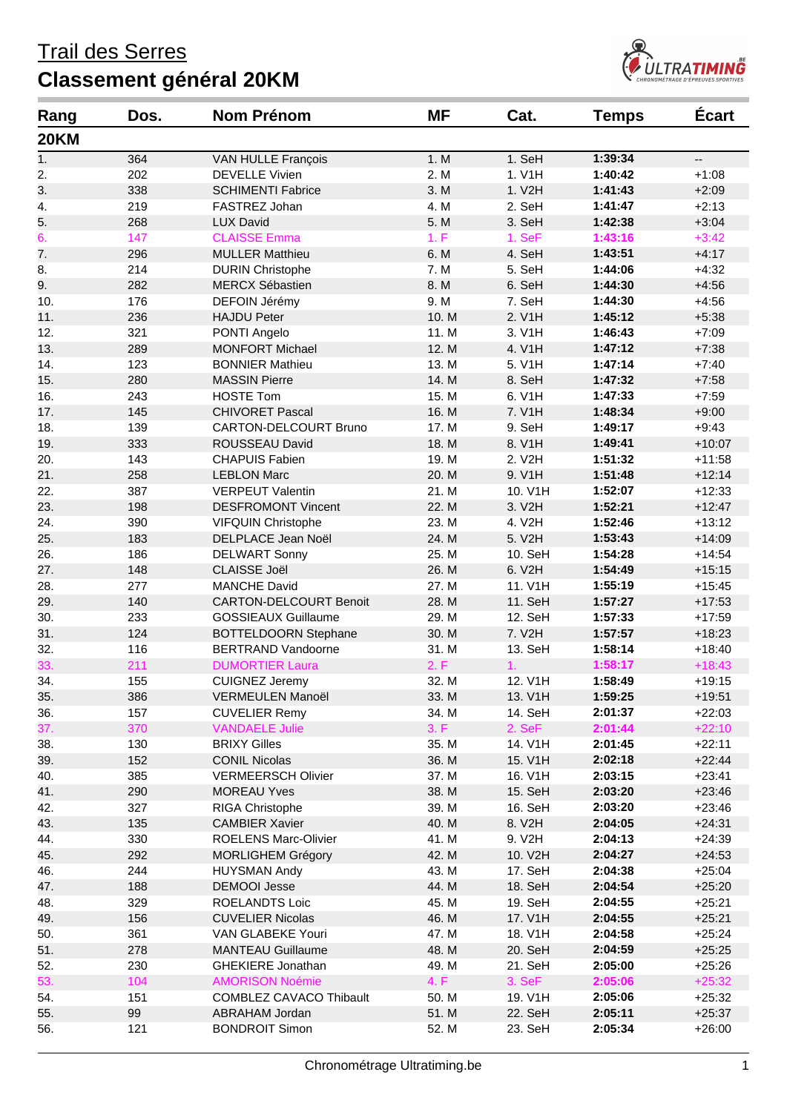

| Rang        | Dos. | <b>Nom Prénom</b>                                 | <b>MF</b>     | Cat.    | <b>Temps</b>       | Écart                    |
|-------------|------|---------------------------------------------------|---------------|---------|--------------------|--------------------------|
| <b>20KM</b> |      |                                                   |               |         |                    |                          |
| 1.          | 364  | VAN HULLE François                                | 1. M          | 1. SeH  | 1:39:34            | $\overline{\phantom{a}}$ |
| 2.          | 202  | <b>DEVELLE Vivien</b>                             | 2. M          | 1. V1H  | 1:40:42            | $+1:08$                  |
| 3.          | 338  | <b>SCHIMENTI Fabrice</b>                          | 3. M          | 1. V2H  | 1:41:43            | $+2:09$                  |
| 4.          | 219  | FASTREZ Johan                                     | 4. M          | 2. SeH  | 1:41:47            | $+2:13$                  |
| 5.          | 268  | <b>LUX David</b>                                  | 5. M          | 3. SeH  | 1:42:38            | $+3:04$                  |
| 6.          | 147  | <b>CLAISSE Emma</b>                               | 1. F          | 1. SeF  | 1:43:16            | $+3:42$                  |
| 7.          | 296  | <b>MULLER Matthieu</b>                            | 6. M          | 4. SeH  | 1:43:51            | $+4:17$                  |
| 8.          | 214  | <b>DURIN Christophe</b>                           | 7. M          | 5. SeH  | 1:44:06            | $+4:32$                  |
| 9.          | 282  | <b>MERCX Sébastien</b>                            | 8. M          | 6. SeH  | 1:44:30            | $+4:56$                  |
| 10.         | 176  | DEFOIN Jérémy                                     | 9. M          | 7. SeH  | 1:44:30            | $+4:56$                  |
| 11.         | 236  | <b>HAJDU Peter</b>                                | 10. M         | 2. V1H  | 1:45:12            | $+5:38$                  |
| 12.         | 321  | PONTI Angelo                                      | 11. M         | 3. V1H  | 1:46:43            | $+7:09$                  |
| 13.         | 289  | <b>MONFORT Michael</b>                            | 12. M         | 4. V1H  | 1:47:12            | $+7:38$                  |
| 14.         | 123  | <b>BONNIER Mathieu</b>                            | 13. M         | 5. V1H  | 1:47:14            | $+7:40$                  |
| 15.         | 280  | <b>MASSIN Pierre</b>                              | 14. M         | 8. SeH  | 1:47:32            | $+7:58$                  |
| 16.         | 243  | <b>HOSTE Tom</b>                                  | 15. M         | 6. V1H  | 1:47:33            | $+7:59$                  |
| 17.         | 145  | <b>CHIVORET Pascal</b>                            | 16. M         | 7. V1H  | 1:48:34            | $+9:00$                  |
| 18.         | 139  | CARTON-DELCOURT Bruno                             | 17. M         | 9. SeH  | 1:49:17            | $+9:43$                  |
| 19.         | 333  | ROUSSEAU David                                    | 18. M         | 8. V1H  | 1:49:41            | $+10:07$                 |
| 20.         | 143  | <b>CHAPUIS Fabien</b>                             | 19. M         | 2. V2H  | 1:51:32            | $+11:58$                 |
| 21.         | 258  | <b>LEBLON Marc</b>                                | 20. M         | 9. V1H  | 1:51:48            | $+12:14$                 |
| 22.         | 387  | <b>VERPEUT Valentin</b>                           | 21. M         | 10. V1H | 1:52:07            | $+12:33$                 |
| 23.         | 198  | <b>DESFROMONT Vincent</b>                         | 22. M         | 3. V2H  | 1:52:21            | $+12:47$                 |
| 24.         | 390  | VIFQUIN Christophe                                | 23. M         | 4. V2H  | 1:52:46            | $+13:12$                 |
| 25.         | 183  | DELPLACE Jean Noël                                | 24. M         | 5. V2H  | 1:53:43            | $+14:09$                 |
| 26.         | 186  | <b>DELWART Sonny</b>                              | 25. M         | 10. SeH | 1:54:28            | $+14:54$                 |
| 27.         | 148  | <b>CLAISSE Joël</b>                               | 26. M         | 6. V2H  | 1:54:49            | $+15:15$                 |
| 28.         | 277  | <b>MANCHE David</b>                               | 27. M         | 11. V1H | 1:55:19            | $+15:45$                 |
| 29.         | 140  | <b>CARTON-DELCOURT Benoit</b>                     | 28. M         | 11. SeH | 1:57:27            | $+17:53$                 |
| 30.         | 233  | <b>GOSSIEAUX Guillaume</b>                        | 29. M         | 12. SeH | 1:57:33            | $+17:59$                 |
| 31.         | 124  | <b>BOTTELDOORN Stephane</b>                       | 30. M         | 7. V2H  | 1:57:57            | $+18:23$                 |
| 32.         | 116  | <b>BERTRAND Vandoorne</b>                         | 31. M         | 13. SeH | 1:58:14            | $+18:40$                 |
| 33.         | 211  | <b>DUMORTIER Laura</b>                            | 2. F          | 1.      | 1:58:17            | $+18:43$                 |
| 34.         | 155  | <b>CUIGNEZ Jeremy</b>                             | 32. M         | 12. V1H | 1:58:49            | $+19:15$                 |
| 35.         | 386  | VERMEULEN Manoël                                  | 33. M         | 13. V1H | 1:59:25            |                          |
|             |      | <b>CUVELIER Remy</b>                              |               | 14. SeH |                    | $+19:51$                 |
| 36.         | 157  | <b>VANDAELE Julie</b>                             | 34. M<br>3. F |         | 2:01:37<br>2:01:44 | $+22:03$                 |
| 37.         | 370  |                                                   |               | 2. SeF  |                    | $+22:10$                 |
| 38.         | 130  | <b>BRIXY Gilles</b>                               | 35. M         | 14. V1H | 2:01:45            | $+22:11$                 |
| 39.         | 152  | <b>CONIL Nicolas</b><br><b>VERMEERSCH Olivier</b> | 36. M         | 15. V1H | 2:02:18            | $+22:44$                 |
| 40.         | 385  |                                                   | 37. M         | 16. V1H | 2:03:15            | $+23:41$                 |
| 41.         | 290  | <b>MOREAU Yves</b>                                | 38. M         | 15. SeH | 2:03:20            | $+23:46$                 |
| 42.         | 327  | RIGA Christophe                                   | 39. M         | 16. SeH | 2:03:20            | $+23:46$                 |
| 43.         | 135  | <b>CAMBIER Xavier</b>                             | 40. M         | 8. V2H  | 2:04:05            | $+24:31$                 |
| 44.         | 330  | ROELENS Marc-Olivier                              | 41. M         | 9. V2H  | 2:04:13            | $+24:39$                 |
| 45.         | 292  | <b>MORLIGHEM Grégory</b>                          | 42. M         | 10. V2H | 2:04:27            | $+24:53$                 |
| 46.         | 244  | <b>HUYSMAN Andy</b>                               | 43. M         | 17. SeH | 2:04:38            | $+25:04$                 |
| 47.         | 188  | <b>DEMOOI Jesse</b>                               | 44. M         | 18. SeH | 2:04:54            | $+25:20$                 |
| 48.         | 329  | ROELANDTS Loic                                    | 45. M         | 19. SeH | 2:04:55            | $+25:21$                 |
| 49.         | 156  | <b>CUVELIER Nicolas</b>                           | 46. M         | 17. V1H | 2:04:55            | $+25:21$                 |
| 50.         | 361  | VAN GLABEKE Youri                                 | 47. M         | 18. V1H | 2:04:58            | $+25:24$                 |
| 51.         | 278  | <b>MANTEAU Guillaume</b>                          | 48. M         | 20. SeH | 2:04:59            | $+25:25$                 |
| 52.         | 230  | <b>GHEKIERE Jonathan</b>                          | 49. M         | 21. SeH | 2:05:00            | $+25:26$                 |
| 53.         | 104  | <b>AMORISON Noémie</b>                            | 4. F          | 3. SeF  | 2:05:06            | $+25:32$                 |
| 54.         | 151  | <b>COMBLEZ CAVACO Thibault</b>                    | 50. M         | 19. V1H | 2:05:06            | $+25:32$                 |
| 55.         | 99   | ABRAHAM Jordan                                    | 51. M         | 22. SeH | 2:05:11            | $+25:37$                 |
| 56.         | 121  | <b>BONDROIT Simon</b>                             | 52. M         | 23. SeH | 2:05:34            | $+26:00$                 |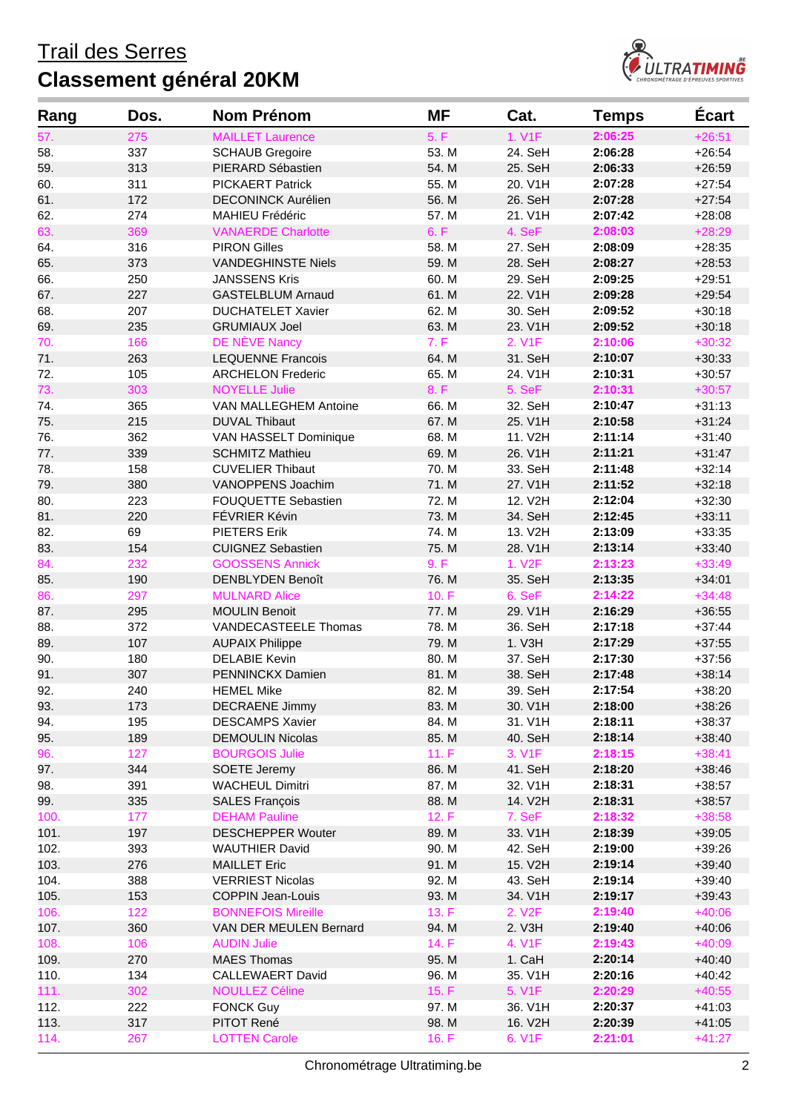

| Rang | Dos.      | <b>Nom Prénom</b>          | MF    | Cat.                | <b>Temps</b> | <b>Écart</b> |
|------|-----------|----------------------------|-------|---------------------|--------------|--------------|
| 57.  | 275       | <b>MAILLET Laurence</b>    | 5. F  | 1. V1F              | 2:06:25      | $+26:51$     |
| 58.  | 337       | <b>SCHAUB Gregoire</b>     | 53. M | 24. SeH             | 2:06:28      | $+26:54$     |
| 59.  | 313       | PIERARD Sébastien          | 54. M | 25. SeH             | 2:06:33      | $+26:59$     |
| 60.  | 311       | <b>PICKAERT Patrick</b>    | 55. M | 20. V1H             | 2:07:28      | $+27:54$     |
| 61.  | 172       | <b>DECONINCK Aurélien</b>  | 56. M | 26. SeH             | 2:07:28      | $+27:54$     |
| 62.  | 274       | <b>MAHIEU Frédéric</b>     | 57. M | 21. V1H             | 2:07:42      | $+28:08$     |
| 63.  | 369       | <b>VANAERDE Charlotte</b>  | 6. F  | 4. SeF              | 2:08:03      | $+28:29$     |
| 64.  | 316       | <b>PIRON Gilles</b>        | 58. M | 27. SeH             | 2:08:09      | $+28:35$     |
| 65.  | 373       | <b>VANDEGHINSTE Niels</b>  | 59. M | 28. SeH             | 2:08:27      | $+28:53$     |
| 66.  | 250       | <b>JANSSENS Kris</b>       | 60. M | 29. SeH             | 2:09:25      | $+29:51$     |
| 67.  | 227       | <b>GASTELBLUM Arnaud</b>   | 61. M | 22. V1H             | 2:09:28      | $+29:54$     |
| 68.  | 207       | <b>DUCHATELET Xavier</b>   | 62. M | 30. SeH             | 2:09:52      | $+30:18$     |
| 69.  | 235       | <b>GRUMIAUX Joel</b>       | 63. M | 23. V1H             | 2:09:52      | $+30:18$     |
| 70.  | 166       | DE NÈVE Nancy              | 7. F  | 2. V1F              | 2:10:06      | $+30:32$     |
| 71.  | 263       | <b>LEQUENNE Francois</b>   | 64. M | 31. SeH             | 2:10:07      | $+30:33$     |
| 72.  | 105       | <b>ARCHELON Frederic</b>   | 65. M | 24. V1H             | 2:10:31      | $+30:57$     |
| 73.  | 303       | <b>NOYELLE Julie</b>       | 8. F  | 5. SeF              | 2:10:31      | $+30:57$     |
| 74.  | 365       | VAN MALLEGHEM Antoine      | 66. M | 32. SeH             | 2:10:47      | $+31:13$     |
| 75.  | 215       | <b>DUVAL Thibaut</b>       | 67. M | 25. V1H             | 2:10:58      | $+31:24$     |
| 76.  | 362       | VAN HASSELT Dominique      | 68. M | 11. V2H             | 2:11:14      | $+31:40$     |
| 77.  | 339       | <b>SCHMITZ Mathieu</b>     | 69. M | 26. V1H             | 2:11:21      | $+31:47$     |
| 78.  | 158       | <b>CUVELIER Thibaut</b>    | 70. M | 33. SeH             | 2:11:48      | $+32:14$     |
| 79.  | 380       | VANOPPENS Joachim          | 71. M | 27. V1H             | 2:11:52      | $+32:18$     |
| 80.  | 223       | <b>FOUQUETTE Sebastien</b> | 72. M | 12. V2H             | 2:12:04      | $+32:30$     |
|      |           | FÉVRIER Kévin              | 73. M | 34. SeH             | 2:12:45      |              |
| 81.  | 220<br>69 | <b>PIETERS Erik</b>        | 74. M |                     | 2:13:09      | $+33:11$     |
| 82.  |           |                            |       | 13. V2H             |              | $+33:35$     |
| 83.  | 154       | <b>CUIGNEZ Sebastien</b>   | 75. M | 28. V1H             | 2:13:14      | $+33:40$     |
| 84.  | 232       | <b>GOOSSENS Annick</b>     | 9. F  | 1. V <sub>2</sub> F | 2:13:23      | $+33:49$     |
| 85.  | 190       | <b>DENBLYDEN Benoît</b>    | 76. M | 35. SeH             | 2:13:35      | $+34:01$     |
| 86.  | 297       | <b>MULNARD Alice</b>       | 10.F  | 6. SeF              | 2:14:22      | $+34:48$     |
| 87.  | 295       | <b>MOULIN Benoit</b>       | 77. M | 29. V1H             | 2:16:29      | $+36:55$     |
| 88.  | 372       | VANDECASTEELE Thomas       | 78. M | 36. SeH             | 2:17:18      | $+37:44$     |
| 89.  | 107       | <b>AUPAIX Philippe</b>     | 79. M | 1. V3H              | 2:17:29      | $+37:55$     |
| 90.  | 180       | <b>DELABIE Kevin</b>       | 80. M | 37. SeH             | 2:17:30      | $+37:56$     |
| 91.  | 307       | PENNINCKX Damien           | 81. M | 38. SeH             | 2:17:48      | $+38:14$     |
| 92.  | 240       | <b>HEMEL Mike</b>          | 82. M | 39. SeH             | 2:17:54      | $+38:20$     |
| 93.  | 173       | <b>DECRAENE Jimmy</b>      | 83. M | 30. V1H             | 2:18:00      | $+38:26$     |
| 94.  | 195       | <b>DESCAMPS Xavier</b>     | 84. M | 31. V1H             | 2:18:11      | $+38:37$     |
| 95.  | 189       | <b>DEMOULIN Nicolas</b>    | 85. M | 40. SeH             | 2:18:14      | $+38:40$     |
| 96.  | 127       | <b>BOURGOIS Julie</b>      | 11. F | 3. V1F              | 2:18:15      | $+38:41$     |
| 97.  | 344       | SOETE Jeremy               | 86. M | 41. SeH             | 2:18:20      | $+38:46$     |
| 98.  | 391       | <b>WACHEUL Dimitri</b>     | 87. M | 32. V1H             | 2:18:31      | $+38:57$     |
| 99.  | 335       | <b>SALES François</b>      | 88. M | 14. V2H             | 2:18:31      | $+38:57$     |
| 100. | 177       | <b>DEHAM Pauline</b>       | 12. F | 7. SeF              | 2:18:32      | $+38:58$     |
| 101. | 197       | <b>DESCHEPPER Wouter</b>   | 89. M | 33. V1H             | 2:18:39      | $+39:05$     |
| 102. | 393       | <b>WAUTHIER David</b>      | 90. M | 42. SeH             | 2:19:00      | $+39:26$     |
| 103. | 276       | <b>MAILLET Eric</b>        | 91. M | 15. V2H             | 2:19:14      | $+39:40$     |
| 104. | 388       | <b>VERRIEST Nicolas</b>    | 92. M | 43. SeH             | 2:19:14      | $+39:40$     |
| 105. | 153       | <b>COPPIN Jean-Louis</b>   | 93. M | 34. V1H             | 2:19:17      | $+39:43$     |
| 106. | 122       | <b>BONNEFOIS Mireille</b>  | 13. F | 2. V <sub>2</sub> F | 2:19:40      | $+40:06$     |
| 107. | 360       | VAN DER MEULEN Bernard     | 94. M | 2. V3H              | 2:19:40      | $+40:06$     |
| 108. | 106       | <b>AUDIN Julie</b>         | 14. F | 4. V1F              | 2:19:43      | $+40:09$     |
| 109. | 270       | <b>MAES Thomas</b>         | 95. M | 1. CaH              | 2:20:14      | $+40:40$     |
| 110. | 134       | <b>CALLEWAERT David</b>    | 96. M | 35. V1H             | 2:20:16      | $+40:42$     |
| 111. | 302       | <b>NOULLEZ Céline</b>      | 15. F | 5. V1F              | 2:20:29      | $+40:55$     |
| 112. | 222       | <b>FONCK Guy</b>           | 97. M | 36. V1H             | 2:20:37      | $+41:03$     |
| 113. | 317       | PITOT René                 | 98. M | 16. V2H             | 2:20:39      | $+41:05$     |
| 114. | 267       | <b>LOTTEN Carole</b>       | 16. F | 6. V1F              | 2:21:01      | $+41:27$     |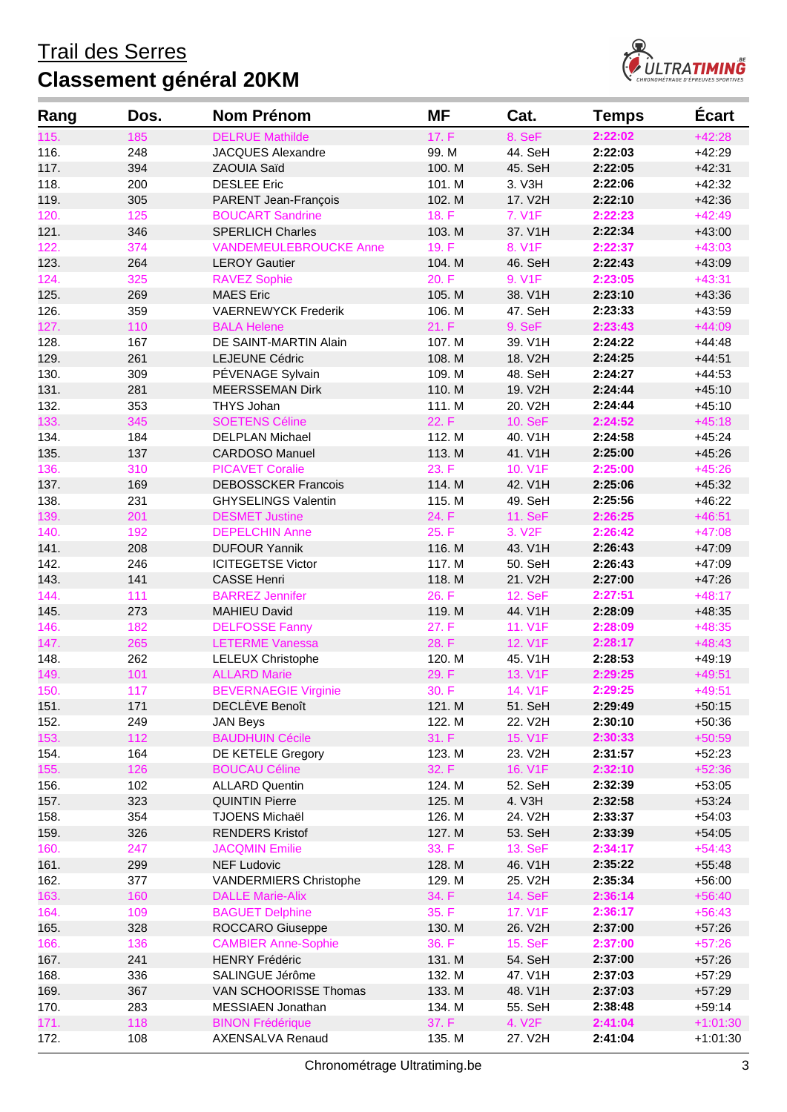

| Rang | Dos. | <b>Nom Prénom</b>             | <b>MF</b> | Cat.                | <b>Temps</b> | <b>Écart</b> |
|------|------|-------------------------------|-----------|---------------------|--------------|--------------|
| 115. | 185  | <b>DELRUE Mathilde</b>        | 17. F     | 8. SeF              | 2:22:02      | $+42:28$     |
| 116. | 248  | JACQUES Alexandre             | 99. M     | 44. SeH             | 2:22:03      | $+42:29$     |
| 117. | 394  | ZAOUIA Saïd                   | 100. M    | 45. SeH             | 2:22:05      | $+42:31$     |
| 118. | 200  | <b>DESLEE Eric</b>            | 101. M    | 3. V3H              | 2:22:06      | $+42:32$     |
| 119. | 305  | PARENT Jean-François          | 102. M    | 17. V2H             | 2:22:10      | $+42:36$     |
| 120. | 125  | <b>BOUCART Sandrine</b>       | 18. F     | 7. V1F              | 2:22:23      | $+42:49$     |
| 121. | 346  | <b>SPERLICH Charles</b>       | 103. M    | 37. V1H             | 2:22:34      | $+43:00$     |
| 122. | 374  | <b>VANDEMEULEBROUCKE Anne</b> | 19. F     | 8. V1F              | 2:22:37      | $+43:03$     |
| 123. | 264  | <b>LEROY Gautier</b>          | 104. M    | 46. SeH             | 2:22:43      | $+43:09$     |
| 124. | 325  | <b>RAVEZ Sophie</b>           | 20. F     | 9. V1F              | 2:23:05      | $+43:31$     |
| 125. | 269  | <b>MAES Eric</b>              | 105. M    | 38. V1H             | 2:23:10      | $+43:36$     |
| 126. | 359  | <b>VAERNEWYCK Frederik</b>    | 106. M    | 47. SeH             | 2:23:33      | $+43:59$     |
| 127. | 110  | <b>BALA Helene</b>            | 21. F     | 9. SeF              | 2:23:43      | $+44:09$     |
| 128. | 167  | DE SAINT-MARTIN Alain         | 107. M    | 39. V1H             | 2:24:22      | $+44:48$     |
| 129. | 261  | LEJEUNE Cédric                | 108. M    | 18. V2H             | 2:24:25      | $+44:51$     |
| 130. | 309  | PÉVENAGE Sylvain              | 109. M    | 48. SeH             | 2:24:27      | $+44:53$     |
| 131. | 281  | <b>MEERSSEMAN Dirk</b>        | 110. M    | 19. V2H             | 2:24:44      | $+45:10$     |
| 132. | 353  | <b>THYS Johan</b>             | 111. M    | 20. V2H             | 2:24:44      | $+45:10$     |
| 133. | 345  | <b>SOETENS Céline</b>         | 22. F     | 10. SeF             | 2:24:52      | $+45:18$     |
| 134. | 184  | <b>DELPLAN Michael</b>        | 112. M    | 40. V1H             | 2:24:58      | $+45:24$     |
| 135. | 137  | <b>CARDOSO Manuel</b>         | 113. M    | 41. V1H             | 2:25:00      | $+45:26$     |
| 136. | 310  | <b>PICAVET Coralie</b>        | 23. F     | 10. V1F             | 2:25:00      | $+45:26$     |
| 137. | 169  | <b>DEBOSSCKER Francois</b>    | 114. M    | 42. V1H             | 2:25:06      | $+45:32$     |
| 138. | 231  | <b>GHYSELINGS Valentin</b>    | 115. M    | 49. SeH             | 2:25:56      | $+46:22$     |
| 139. | 201  | <b>DESMET Justine</b>         | 24. F     | 11. SeF             | 2:26:25      | $+46:51$     |
| 140. | 192  | <b>DEPELCHIN Anne</b>         | 25. F     | 3. V <sub>2F</sub>  | 2:26:42      | $+47:08$     |
| 141. | 208  | <b>DUFOUR Yannik</b>          | 116. M    | 43. V1H             | 2:26:43      | $+47:09$     |
| 142. | 246  | <b>ICITEGETSE Victor</b>      | 117. M    | 50. SeH             | 2:26:43      | $+47:09$     |
| 143. | 141  | <b>CASSE Henri</b>            | 118. M    | 21. V2H             | 2:27:00      | $+47:26$     |
| 144. | 111  | <b>BARREZ Jennifer</b>        | 26. F     | 12. SeF             | 2:27:51      | $+48:17$     |
| 145. | 273  | <b>MAHIEU David</b>           | 119. M    | 44. V1H             | 2:28:09      | $+48:35$     |
| 146. | 182  | <b>DELFOSSE Fanny</b>         | 27. F     | 11. V1F             | 2:28:09      | $+48:35$     |
| 147. | 265  | <b>LETERME Vanessa</b>        | 28. F     | 12. V1F             | 2:28:17      | $+48:43$     |
| 148. | 262  | <b>LELEUX Christophe</b>      | 120. M    | 45. V1H             | 2:28:53      | $+49:19$     |
| 149. | 101  | <b>ALLARD Marie</b>           | 29. F     | 13. V1F             | 2:29:25      | $+49:51$     |
| 150. | 117  | <b>BEVERNAEGIE Virginie</b>   | 30. F     | 14. V1F             | 2:29:25      | $+49:51$     |
| 151. | 171  | DECLÈVE Benoît                | 121. M    | 51. SeH             | 2:29:49      | $+50:15$     |
| 152. | 249  | <b>JAN Beys</b>               | 122. M    | 22. V2H             | 2:30:10      | $+50:36$     |
| 153. | 112  | <b>BAUDHUIN Cécile</b>        | 31. F     | 15. V1F             | 2:30:33      | $+50:59$     |
| 154. | 164  | DE KETELE Gregory             | 123. M    | 23. V2H             | 2:31:57      | $+52:23$     |
| 155. | 126  | <b>BOUCAU Céline</b>          | 32. F     | 16. V1F             | 2:32:10      | $+52:36$     |
| 156. | 102  | <b>ALLARD Quentin</b>         | 124. M    | 52. SeH             | 2:32:39      |              |
| 157. | 323  | <b>QUINTIN Pierre</b>         | 125. M    | 4. V3H              | 2:32:58      | $+53:05$     |
| 158. | 354  | <b>TJOENS Michaël</b>         | 126. M    | 24. V2H             |              | $+53:24$     |
|      |      |                               |           |                     | 2:33:37      | $+54:03$     |
| 159. | 326  | <b>RENDERS Kristof</b>        | 127. M    | 53. SeH             | 2:33:39      | $+54:05$     |
| 160. | 247  | <b>JACQMIN Emilie</b>         | 33. F     | 13. SeF             | 2:34:17      | $+54:43$     |
| 161. | 299  | <b>NEF Ludovic</b>            | 128. M    | 46. V1H             | 2:35:22      | $+55:48$     |
| 162. | 377  | <b>VANDERMIERS Christophe</b> | 129. M    | 25. V2H             | 2:35:34      | $+56:00$     |
| 163. | 160  | <b>DALLE Marie-Alix</b>       | 34. F     | 14. SeF             | 2:36:14      | $+56:40$     |
| 164. | 109  | <b>BAGUET Delphine</b>        | 35. F     | 17. V1F             | 2:36:17      | $+56:43$     |
| 165. | 328  | ROCCARO Giuseppe              | 130. M    | 26. V2H             | 2:37:00      | $+57:26$     |
| 166. | 136  | <b>CAMBIER Anne-Sophie</b>    | 36. F     | 15. SeF             | 2:37:00      | $+57:26$     |
| 167. | 241  | <b>HENRY Frédéric</b>         | 131. M    | 54. SeH             | 2:37:00      | $+57:26$     |
| 168. | 336  | SALINGUE Jérôme               | 132. M    | 47. V1H             | 2:37:03      | $+57:29$     |
| 169. | 367  | VAN SCHOORISSE Thomas         | 133. M    | 48. V1H             | 2:37:03      | $+57:29$     |
| 170. | 283  | <b>MESSIAEN Jonathan</b>      | 134. M    | 55. SeH             | 2:38:48      | $+59:14$     |
| 171. | 118  | <b>BINON Frédérique</b>       | 37. F     | 4. V <sub>2</sub> F | 2:41:04      | $+1:01:30$   |
| 172. | 108  | AXENSALVA Renaud              | 135. M    | 27. V2H             | 2:41:04      | $+1:01:30$   |